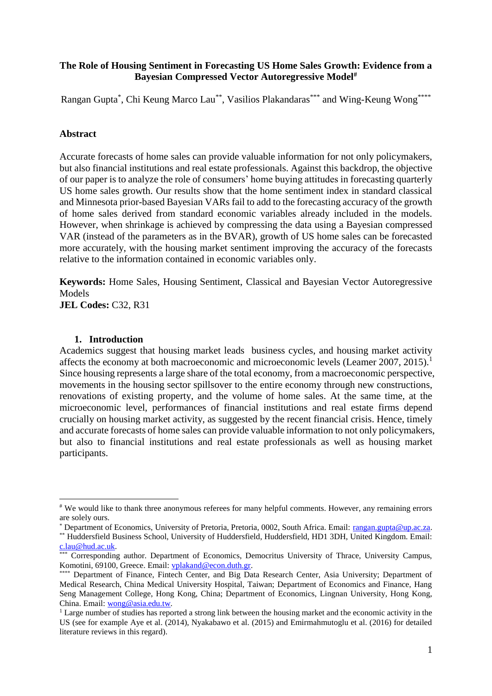## **The Role of Housing Sentiment in Forecasting US Home Sales Growth: Evidence from a Bayesian Compressed Vector Autoregressive Model#**

Rangan Gupta\*, Chi Keung Marco Lau\*\*, Vasilios Plakandaras\*\*\* and Wing-Keung Wong\*\*\*\*

### **Abstract**

Accurate forecasts of home sales can provide valuable information for not only policymakers, but also financial institutions and real estate professionals. Against this backdrop, the objective of our paper is to analyze the role of consumers' home buying attitudes in forecasting quarterly US home sales growth. Our results show that the home sentiment index in standard classical and Minnesota prior-based Bayesian VARs fail to add to the forecasting accuracy of the growth of home sales derived from standard economic variables already included in the models. However, when shrinkage is achieved by compressing the data using a Bayesian compressed VAR (instead of the parameters as in the BVAR), growth of US home sales can be forecasted more accurately, with the housing market sentiment improving the accuracy of the forecasts relative to the information contained in economic variables only.

**Keywords:** Home Sales, Housing Sentiment, Classical and Bayesian Vector Autoregressive Models

**JEL Codes:** C32, R31

### **1. Introduction**

**.** 

Academics suggest that housing market leads business cycles, and housing market activity affects the economy at both macroeconomic and microeconomic levels (Leamer 2007, 2015).<sup>1</sup> Since housing represents a large share of the total economy, from a macroeconomic perspective, movements in the housing sector spillsover to the entire economy through new constructions, renovations of existing property, and the volume of home sales. At the same time, at the microeconomic level, performances of financial institutions and real estate firms depend crucially on housing market activity, as suggested by the recent financial crisis. Hence, timely and accurate forecasts of home sales can provide valuable information to not only policymakers, but also to financial institutions and real estate professionals as well as housing market participants.

<sup>#</sup> We would like to thank three anonymous referees for many helpful comments. However, any remaining errors are solely ours.

<sup>\*</sup> Department of Economics, University of Pretoria, Pretoria, 0002, South Africa. Email: [rangan.gupta@up.ac.za.](file:///C:/Users/Bill.plak/Research/Compressed%20BVAR/rangan.gupta@up.ac.za)

<sup>\*\*</sup> Huddersfield Business School, University of Huddersfield, Huddersfield, HD1 3DH, United Kingdom. Email: [c.lau@hud.ac.uk.](file:///C:/Users/User/Downloads/c.lau@hud.ac.uk)

<sup>&</sup>lt;sup>\*</sup> Corresponding author. Department of Economics, Democritus University of Thrace, University Campus, Komotini, 69100, Greece. Email: [vplakand@econ.duth.gr.](file:///C:/Users/Bill.plak/Research/Compressed%20BVAR/vplakand@econ.duth.gr)

<sup>\*\*\*</sup> Department of Finance, Fintech Center, and Big Data Research Center, Asia University; Department of Medical Research, China Medical University Hospital, Taiwan; Department of Economics and Finance, Hang Seng Management College, Hong Kong, China; Department of Economics, Lingnan University, Hong Kong, China. Email: [wong@asia.edu.tw.](file:///C:/Users/Bill.plak/Research/Compressed%20BVAR/wong@asia.edu.tw)

<sup>&</sup>lt;sup>1</sup> Large number of studies has reported a strong link between the housing market and the economic activity in the US (see for example Aye et al. (2014), Nyakabawo et al. (2015) and Emirmahmutoglu et al. (2016) for detailed literature reviews in this regard).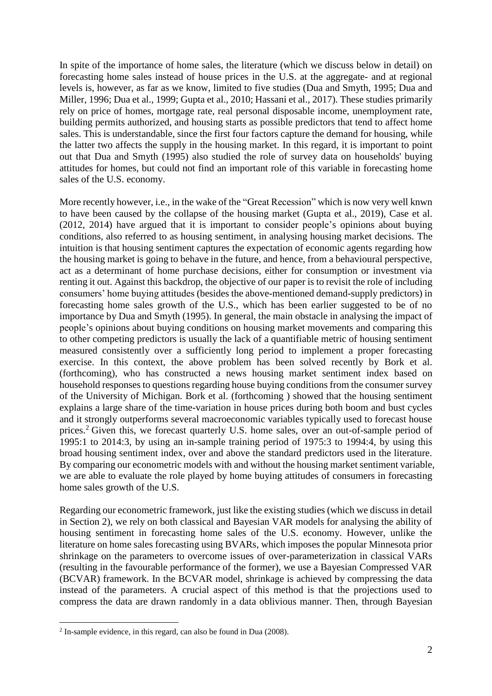In spite of the importance of home sales, the literature (which we discuss below in detail) on forecasting home sales instead of house prices in the U.S. at the aggregate- and at regional levels is, however, as far as we know, limited to five studies (Dua and Smyth, 1995; Dua and Miller, 1996; Dua et al., 1999; Gupta et al., 2010; Hassani et al., 2017). These studies primarily rely on price of homes, mortgage rate, real personal disposable income, unemployment rate, building permits authorized, and housing starts as possible predictors that tend to affect home sales. This is understandable, since the first four factors capture the demand for housing, while the latter two affects the supply in the housing market. In this regard, it is important to point out that Dua and Smyth (1995) also studied the role of survey data on households' buying attitudes for homes, but could not find an important role of this variable in forecasting home sales of the U.S. economy.

More recently however, i.e., in the wake of the "Great Recession" which is now very well knwn to have been caused by the collapse of the housing market (Gupta et al., 2019), Case et al. (2012, 2014) have argued that it is important to consider people's opinions about buying conditions, also referred to as housing sentiment, in analysing housing market decisions. The intuition is that housing sentiment captures the expectation of economic agents regarding how the housing market is going to behave in the future, and hence, from a behavioural perspective, act as a determinant of home purchase decisions, either for consumption or investment via renting it out. Against this backdrop, the objective of our paper is to revisit the role of including consumers' home buying attitudes (besides the above-mentioned demand-supply predictors) in forecasting home sales growth of the U.S., which has been earlier suggested to be of no importance by Dua and Smyth (1995). In general, the main obstacle in analysing the impact of people's opinions about buying conditions on housing market movements and comparing this to other competing predictors is usually the lack of a quantifiable metric of housing sentiment measured consistently over a sufficiently long period to implement a proper forecasting exercise. In this context, the above problem has been solved recently by Bork et al. (forthcoming), who has constructed a news housing market sentiment index based on household responses to questions regarding house buying conditions from the consumer survey of the University of Michigan. Bork et al. (forthcoming ) showed that the housing sentiment explains a large share of the time-variation in house prices during both boom and bust cycles and it strongly outperforms several macroeconomic variables typically used to forecast house prices.<sup>2</sup> Given this, we forecast quarterly U.S. home sales, over an out-of-sample period of 1995:1 to 2014:3, by using an in-sample training period of 1975:3 to 1994:4, by using this broad housing sentiment index, over and above the standard predictors used in the literature. By comparing our econometric models with and without the housing market sentiment variable, we are able to evaluate the role played by home buying attitudes of consumers in forecasting home sales growth of the U.S.

Regarding our econometric framework, just like the existing studies (which we discuss in detail in Section 2), we rely on both classical and Bayesian VAR models for analysing the ability of housing sentiment in forecasting home sales of the U.S. economy. However, unlike the literature on home sales forecasting using BVARs, which imposes the popular Minnesota prior shrinkage on the parameters to overcome issues of over-parameterization in classical VARs (resulting in the favourable performance of the former), we use a Bayesian Compressed VAR (BCVAR) framework. In the BCVAR model, shrinkage is achieved by compressing the data instead of the parameters. A crucial aspect of this method is that the projections used to compress the data are drawn randomly in a data oblivious manner. Then, through Bayesian

<sup>&</sup>lt;sup>2</sup> In-sample evidence, in this regard, can also be found in Dua (2008).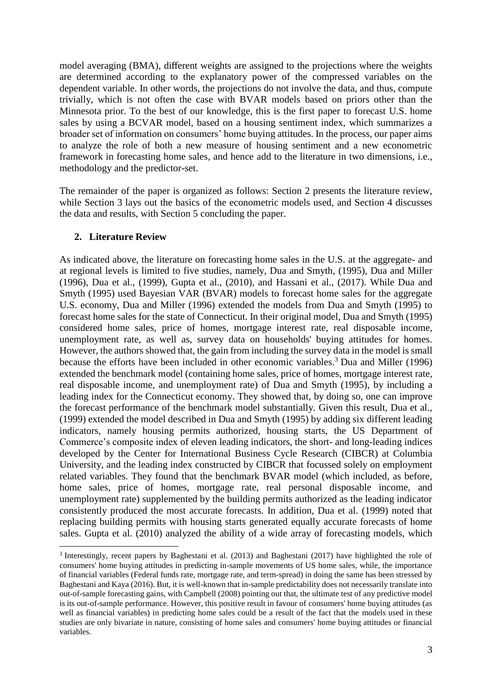model averaging (BMA), different weights are assigned to the projections where the weights are determined according to the explanatory power of the compressed variables on the dependent variable. In other words, the projections do not involve the data, and thus, compute trivially, which is not often the case with BVAR models based on priors other than the Minnesota prior. To the best of our knowledge, this is the first paper to forecast U.S. home sales by using a BCVAR model, based on a housing sentiment index, which summarizes a broader set of information on consumers' home buying attitudes. In the process, our paper aims to analyze the role of both a new measure of housing sentiment and a new econometric framework in forecasting home sales, and hence add to the literature in two dimensions, i.e., methodology and the predictor-set.

The remainder of the paper is organized as follows: Section 2 presents the literature review, while Section 3 lays out the basics of the econometric models used, and Section 4 discusses the data and results, with Section 5 concluding the paper.

## **2. Literature Review**

 $\overline{a}$ 

As indicated above, the literature on forecasting home sales in the U.S. at the aggregate- and at regional levels is limited to five studies, namely, Dua and Smyth, (1995), Dua and Miller (1996), Dua et al., (1999), Gupta et al., (2010), and Hassani et al., (2017). While Dua and Smyth (1995) used Bayesian VAR (BVAR) models to forecast home sales for the aggregate U.S. economy, Dua and Miller (1996) extended the models from Dua and Smyth (1995) to forecast home sales for the state of Connecticut. In their original model, Dua and Smyth (1995) considered home sales, price of homes, mortgage interest rate, real disposable income, unemployment rate, as well as, survey data on households' buying attitudes for homes. However, the authors showed that, the gain from including the survey data in the model is small because the efforts have been included in other economic variables. <sup>3</sup> Dua and Miller (1996) extended the benchmark model (containing home sales, price of homes, mortgage interest rate, real disposable income, and unemployment rate) of Dua and Smyth (1995), by including a leading index for the Connecticut economy. They showed that, by doing so, one can improve the forecast performance of the benchmark model substantially. Given this result, Dua et al., (1999) extended the model described in Dua and Smyth (1995) by adding six different leading indicators, namely housing permits authorized, housing starts, the US Department of Commerce's composite index of eleven leading indicators, the short- and long-leading indices developed by the Center for International Business Cycle Research (CIBCR) at Columbia University, and the leading index constructed by CIBCR that focussed solely on employment related variables. They found that the benchmark BVAR model (which included, as before, home sales, price of homes, mortgage rate, real personal disposable income, and unemployment rate) supplemented by the building permits authorized as the leading indicator consistently produced the most accurate forecasts. In addition, Dua et al. (1999) noted that replacing building permits with housing starts generated equally accurate forecasts of home sales. Gupta et al. (2010) analyzed the ability of a wide array of forecasting models, which

<sup>3</sup> Interestingly, recent papers by Baghestani et al. (2013) and Baghestani (2017) have highlighted the role of consumers' home buying attitudes in predicting in-sample movements of US home sales, while, the importance of financial variables (Federal funds rate, mortgage rate, and term-spread) in doing the same has been stressed by Baghestani and Kaya (2016). But, it is well-known that in-sample predictability does not necessarily translate into out-of-sample forecasting gains, with Campbell (2008) pointing out that, the ultimate test of any predictive model is its out-of-sample performance. However, this positive result in favour of consumers' home buying attitudes (as well as financial variables) in predicting home sales could be a result of the fact that the models used in these studies are only bivariate in nature, consisting of home sales and consumers' home buying attitudes or financial variables.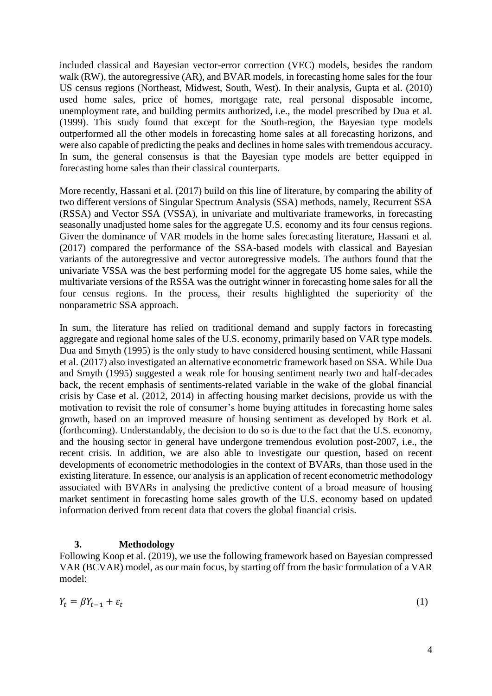included classical and Bayesian vector-error correction (VEC) models, besides the random walk (RW), the autoregressive (AR), and BVAR models, in forecasting home sales for the four US census regions (Northeast, Midwest, South, West). In their analysis, Gupta et al. (2010) used home sales, price of homes, mortgage rate, real personal disposable income, unemployment rate, and building permits authorized, i.e., the model prescribed by Dua et al. (1999). This study found that except for the South-region, the Bayesian type models outperformed all the other models in forecasting home sales at all forecasting horizons, and were also capable of predicting the peaks and declines in home sales with tremendous accuracy. In sum, the general consensus is that the Bayesian type models are better equipped in forecasting home sales than their classical counterparts.

More recently, Hassani et al. (2017) build on this line of literature, by comparing the ability of two different versions of Singular Spectrum Analysis (SSA) methods, namely, Recurrent SSA (RSSA) and Vector SSA (VSSA), in univariate and multivariate frameworks, in forecasting seasonally unadjusted home sales for the aggregate U.S. economy and its four census regions. Given the dominance of VAR models in the home sales forecasting literature, Hassani et al. (2017) compared the performance of the SSA-based models with classical and Bayesian variants of the autoregressive and vector autoregressive models. The authors found that the univariate VSSA was the best performing model for the aggregate US home sales, while the multivariate versions of the RSSA was the outright winner in forecasting home sales for all the four census regions. In the process, their results highlighted the superiority of the nonparametric SSA approach.

In sum, the literature has relied on traditional demand and supply factors in forecasting aggregate and regional home sales of the U.S. economy, primarily based on VAR type models. Dua and Smyth (1995) is the only study to have considered housing sentiment, while Hassani et al. (2017) also investigated an alternative econometric framework based on SSA. While Dua and Smyth (1995) suggested a weak role for housing sentiment nearly two and half-decades back, the recent emphasis of sentiments-related variable in the wake of the global financial crisis by Case et al. (2012, 2014) in affecting housing market decisions, provide us with the motivation to revisit the role of consumer's home buying attitudes in forecasting home sales growth, based on an improved measure of housing sentiment as developed by Bork et al. (forthcoming). Understandably, the decision to do so is due to the fact that the U.S. economy, and the housing sector in general have undergone tremendous evolution post-2007, i.e., the recent crisis. In addition, we are also able to investigate our question, based on recent developments of econometric methodologies in the context of BVARs, than those used in the existing literature. In essence, our analysis is an application of recent econometric methodology associated with BVARs in analysing the predictive content of a broad measure of housing market sentiment in forecasting home sales growth of the U.S. economy based on updated information derived from recent data that covers the global financial crisis.

# **3. Methodology**

Following Koop et al. (2019), we use the following framework based on Bayesian compressed VAR (BCVAR) model, as our main focus, by starting off from the basic formulation of a VAR model:

$$
Y_t = \beta Y_{t-1} + \varepsilon_t \tag{1}
$$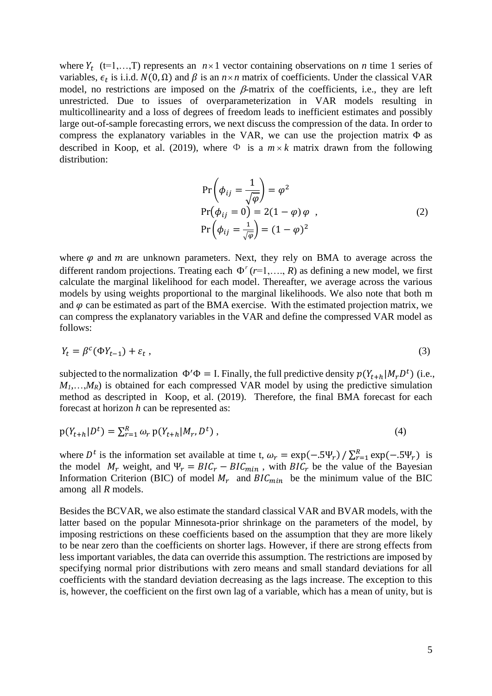where  $Y_t$  (t=1,...,T) represents an  $n \times 1$  vector containing observations on *n* time 1 series of variables,  $\epsilon_t$  is i.i.d.  $N(0, \Omega)$  and  $\beta$  is an  $n \times n$  matrix of coefficients. Under the classical VAR model, no restrictions are imposed on the  $\beta$ -matrix of the coefficients, i.e., they are left unrestricted. Due to issues of overparameterization in VAR models resulting in multicollinearity and a loss of degrees of freedom leads to inefficient estimates and possibly large out-of-sample forecasting errors, we next discuss the compression of the data. In order to compress the explanatory variables in the VAR, we can use the projection matrix  $\Phi$  as described in Koop, et al. (2019), where  $\Phi$  is a  $m \times k$  matrix drawn from the following distribution:

$$
\Pr\left(\phi_{ij} = \frac{1}{\sqrt{\varphi}}\right) = \varphi^2
$$
\n
$$
\Pr(\phi_{ij} = 0) = 2(1 - \varphi) \varphi ,
$$
\n
$$
\Pr\left(\phi_{ij} = \frac{1}{\sqrt{\varphi}}\right) = (1 - \varphi)^2
$$
\n(2)

where  $\varphi$  and  $m$  are unknown parameters. Next, they rely on BMA to average across the different random projections. Treating each  $\Phi^r$  ( $r=1,..., R$ ) as defining a new model, we first calculate the marginal likelihood for each model. Thereafter, we average across the various models by using weights proportional to the marginal likelihoods. We also note that both m and  $\varphi$  can be estimated as part of the BMA exercise. With the estimated projection matrix, we can compress the explanatory variables in the VAR and define the compressed VAR model as follows:

$$
Y_t = \beta^c (\Phi Y_{t-1}) + \varepsilon_t \,, \tag{3}
$$

subjected to the normalization  $\Phi' \Phi = I$ . Finally, the full predictive density  $p(Y_{t+h} | M_p D^t)$  (i.e.,  $M_1$ ,…, $M_R$ ) is obtained for each compressed VAR model by using the predictive simulation method as descripted in Koop, et al. (2019). Therefore, the final BMA forecast for each forecast at horizon *h* can be represented as:

$$
p(Y_{t+h}|D^t) = \sum_{r=1}^R \omega_r \, p(Y_{t+h}|M_r, D^t) \,, \tag{4}
$$

where  $D^t$  is the information set available at time t,  $\omega_r = \exp(-.5\Psi_r)/\sum_{r=1}^R \exp(-.5\Psi_r)$  is the model  $M_r$  weight, and  $\Psi_r = BIC_r - BIC_{min}$ , with  $BIC_r$  be the value of the Bayesian Information Criterion (BIC) of model  $M_r$  and  $BIC_{min}$  be the minimum value of the BIC among all *R* models.

Besides the BCVAR, we also estimate the standard classical VAR and BVAR models, with the latter based on the popular Minnesota-prior shrinkage on the parameters of the model, by imposing restrictions on these coefficients based on the assumption that they are more likely to be near zero than the coefficients on shorter lags. However, if there are strong effects from less important variables, the data can override this assumption. The restrictions are imposed by specifying normal prior distributions with zero means and small standard deviations for all coefficients with the standard deviation decreasing as the lags increase. The exception to this is, however, the coefficient on the first own lag of a variable, which has a mean of unity, but is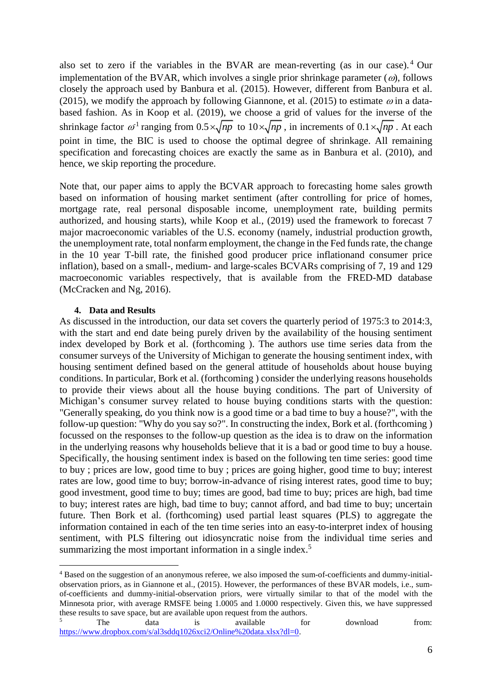also set to zero if the variables in the BVAR are mean-reverting (as in our case). <sup>4</sup> Our implementation of the BVAR, which involves a single prior shrinkage parameter ( $\omega$ ), follows closely the approach used by Banbura et al. (2015). However, different from Banbura et al. (2015), we modify the approach by following Giannone, et al. (2015) to estimate  $\omega$  in a databased fashion. As in Koop et al. (2019), we choose a grid of values for the inverse of the shrinkage factor  $\omega^1$  ranging from  $0.5 \times \sqrt{np}$  to  $10 \times \sqrt{np}$ , in increments of  $0.1 \times \sqrt{np}$ . At each point in time, the BIC is used to choose the optimal degree of shrinkage. All remaining specification and forecasting choices are exactly the same as in Banbura et al. (2010), and hence, we skip reporting the procedure.

Note that, our paper aims to apply the BCVAR approach to forecasting home sales growth based on information of housing market sentiment (after controlling for price of homes, mortgage rate, real personal disposable income, unemployment rate, building permits authorized, and housing starts), while Koop et al., (2019) used the framework to forecast 7 major macroeconomic variables of the U.S. economy (namely, industrial production growth, the unemployment rate, total nonfarm employment, the change in the Fed funds rate, the change in the 10 year T-bill rate, the finished good producer price inflationand consumer price inflation), based on a small-, medium- and large-scales BCVARs comprising of 7, 19 and 129 macroeconomic variables respectively, that is available from the FRED-MD database (McCracken and Ng, 2016).

### **4. Data and Results**

As discussed in the introduction, our data set covers the quarterly period of 1975:3 to 2014:3, with the start and end date being purely driven by the availability of the housing sentiment index developed by Bork et al. (forthcoming ). The authors use time series data from the consumer surveys of the University of Michigan to generate the housing sentiment index, with housing sentiment defined based on the general attitude of households about house buying conditions. In particular, Bork et al. (forthcoming ) consider the underlying reasons households to provide their views about all the house buying conditions. The part of University of Michigan's consumer survey related to house buying conditions starts with the question: "Generally speaking, do you think now is a good time or a bad time to buy a house?", with the follow-up question: "Why do you say so?". In constructing the index, Bork et al. (forthcoming ) focussed on the responses to the follow-up question as the idea is to draw on the information in the underlying reasons why households believe that it is a bad or good time to buy a house. Specifically, the housing sentiment index is based on the following ten time series: good time to buy ; prices are low, good time to buy ; prices are going higher, good time to buy; interest rates are low, good time to buy; borrow-in-advance of rising interest rates, good time to buy; good investment, good time to buy; times are good, bad time to buy; prices are high, bad time to buy; interest rates are high, bad time to buy; cannot afford, and bad time to buy; uncertain future. Then Bork et al. (forthcoming) used partial least squares (PLS) to aggregate the information contained in each of the ten time series into an easy-to-interpret index of housing sentiment, with PLS filtering out idiosyncratic noise from the individual time series and summarizing the most important information in a single index.<sup>5</sup>

**<sup>.</sup>** <sup>4</sup> Based on the suggestion of an anonymous referee, we also imposed the sum-of-coefficients and dummy-initialobservation priors, as in Giannone et al., (2015). However, the performances of these BVAR models, i.e., sumof-coefficients and dummy-initial-observation priors, were virtually similar to that of the model with the Minnesota prior, with average RMSFE being 1.0005 and 1.0000 respectively. Given this, we have suppressed these results to save space, but are available upon request from the authors.

<sup>&</sup>lt;sup>5</sup> The data is available for download from: [https://www.dropbox.com/s/al3sddq1026xci2/Online%20data.xlsx?dl=0.](https://www.dropbox.com/s/al3sddq1026xci2/Online%20data.xlsx?dl=0)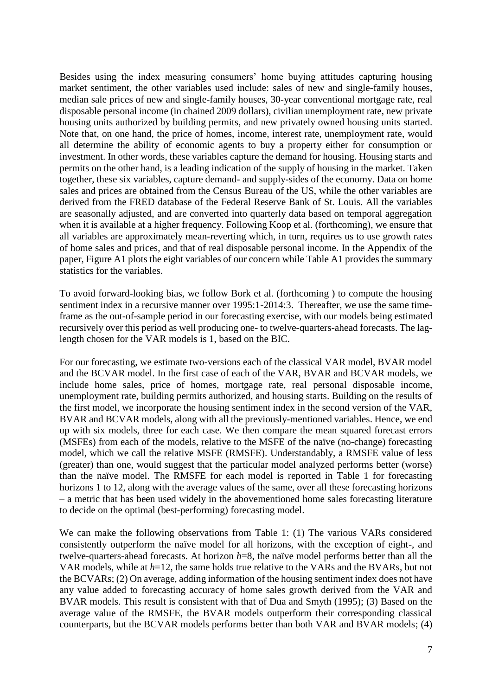Besides using the index measuring consumers' home buying attitudes capturing housing market sentiment, the other variables used include: sales of new and single-family houses, median sale prices of new and single-family houses, 30-year conventional mortgage rate, real disposable personal income (in chained 2009 dollars), civilian unemployment rate, new private housing units authorized by building permits, and new privately owned housing units started. Note that, on one hand, the price of homes, income, interest rate, unemployment rate, would all determine the ability of economic agents to buy a property either for consumption or investment. In other words, these variables capture the demand for housing. Housing starts and permits on the other hand, is a leading indication of the supply of housing in the market. Taken together, these six variables, capture demand- and supply-sides of the economy. Data on home sales and prices are obtained from the Census Bureau of the US, while the other variables are derived from the FRED database of the Federal Reserve Bank of St. Louis. All the variables are seasonally adjusted, and are converted into quarterly data based on temporal aggregation when it is available at a higher frequency. Following Koop et al. (forthcoming), we ensure that all variables are approximately mean-reverting which, in turn, requires us to use growth rates of home sales and prices, and that of real disposable personal income. In the Appendix of the paper, Figure A1 plots the eight variables of our concern while Table A1 provides the summary statistics for the variables.

To avoid forward-looking bias, we follow Bork et al. (forthcoming ) to compute the housing sentiment index in a recursive manner over 1995:1-2014:3. Thereafter, we use the same timeframe as the out-of-sample period in our forecasting exercise, with our models being estimated recursively over this period as well producing one- to twelve-quarters-ahead forecasts. The laglength chosen for the VAR models is 1, based on the BIC.

For our forecasting, we estimate two-versions each of the classical VAR model, BVAR model and the BCVAR model. In the first case of each of the VAR, BVAR and BCVAR models, we include home sales, price of homes, mortgage rate, real personal disposable income, unemployment rate, building permits authorized, and housing starts. Building on the results of the first model, we incorporate the housing sentiment index in the second version of the VAR, BVAR and BCVAR models, along with all the previously-mentioned variables. Hence, we end up with six models, three for each case. We then compare the mean squared forecast errors (MSFEs) from each of the models, relative to the MSFE of the naïve (no-change) forecasting model, which we call the relative MSFE (RMSFE). Understandably, a RMSFE value of less (greater) than one, would suggest that the particular model analyzed performs better (worse) than the naïve model. The RMSFE for each model is reported in Table 1 for forecasting horizons 1 to 12, along with the average values of the same, over all these forecasting horizons – a metric that has been used widely in the abovementioned home sales forecasting literature to decide on the optimal (best-performing) forecasting model.

We can make the following observations from Table 1: (1) The various VARs considered consistently outperform the naïve model for all horizons, with the exception of eight-, and twelve-quarters-ahead forecasts. At horizon *h*=8, the naïve model performs better than all the VAR models, while at *h*=12, the same holds true relative to the VARs and the BVARs, but not the BCVARs; (2) On average, adding information of the housing sentiment index does not have any value added to forecasting accuracy of home sales growth derived from the VAR and BVAR models. This result is consistent with that of Dua and Smyth (1995); (3) Based on the average value of the RMSFE, the BVAR models outperform their corresponding classical counterparts, but the BCVAR models performs better than both VAR and BVAR models; (4)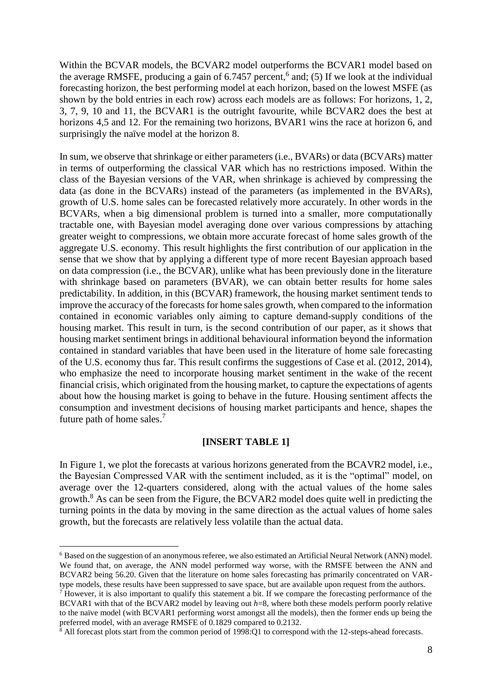Within the BCVAR models, the BCVAR2 model outperforms the BCVAR1 model based on the average RMSFE, producing a gain of 6.7457 percent, 6 and; (5) If we look at the individual forecasting horizon, the best performing model at each horizon, based on the lowest MSFE (as shown by the bold entries in each row) across each models are as follows: For horizons, 1, 2, 3, 7, 9, 10 and 11, the BCVAR1 is the outright favourite, while BCVAR2 does the best at horizons 4,5 and 12. For the remaining two horizons, BVAR1 wins the race at horizon 6, and surprisingly the naïve model at the horizon 8.

In sum, we observe that shrinkage or either parameters (i.e., BVARs) or data (BCVARs) matter in terms of outperforming the classical VAR which has no restrictions imposed. Within the class of the Bayesian versions of the VAR, when shrinkage is achieved by compressing the data (as done in the BCVARs) instead of the parameters (as implemented in the BVARs), growth of U.S. home sales can be forecasted relatively more accurately. In other words in the BCVARs, when a big dimensional problem is turned into a smaller, more computationally tractable one, with Bayesian model averaging done over various compressions by attaching greater weight to compressions, we obtain more accurate forecast of home sales growth of the aggregate U.S. economy. This result highlights the first contribution of our application in the sense that we show that by applying a different type of more recent Bayesian approach based on data compression (i.e., the BCVAR), unlike what has been previously done in the literature with shrinkage based on parameters (BVAR), we can obtain better results for home sales predictability. In addition, in this (BCVAR) framework, the housing market sentiment tends to improve the accuracy of the forecasts for home sales growth, when compared to the information contained in economic variables only aiming to capture demand-supply conditions of the housing market. This result in turn, is the second contribution of our paper, as it shows that housing market sentiment brings in additional behavioural information beyond the information contained in standard variables that have been used in the literature of home sale forecasting of the U.S. economy thus far. This result confirms the suggestions of Case et al. (2012, 2014), who emphasize the need to incorporate housing market sentiment in the wake of the recent financial crisis, which originated from the housing market, to capture the expectations of agents about how the housing market is going to behave in the future. Housing sentiment affects the consumption and investment decisions of housing market participants and hence, shapes the future path of home sales.<sup>7</sup>

## **[INSERT TABLE 1]**

In Figure 1, we plot the forecasts at various horizons generated from the BCAVR2 model, i.e., the Bayesian Compressed VAR with the sentiment included, as it is the "optimal" model, on average over the 12-quarters considered, along with the actual values of the home sales growth.<sup>8</sup> As can be seen from the Figure, the BCVAR2 model does quite well in predicting the turning points in the data by moving in the same direction as the actual values of home sales growth, but the forecasts are relatively less volatile than the actual data.

 $\overline{a}$ 

<sup>6</sup> Based on the suggestion of an anonymous referee, we also estimated an Artificial Neural Network (ANN) model. We found that, on average, the ANN model performed way worse, with the RMSFE between the ANN and BCVAR2 being 56.20. Given that the literature on home sales forecasting has primarily concentrated on VARtype models, these results have been suppressed to save space, but are available upon request from the authors.

<sup>&</sup>lt;sup>7</sup> However, it is also important to qualify this statement a bit. If we compare the forecasting performance of the BCVAR1 with that of the BCVAR2 model by leaving out *h*=8, where both these models perform poorly relative to the naïve model (with BCVAR1 performing worst amongst all the models), then the former ends up being the preferred model, with an average RMSFE of 0.1829 compared to 0.2132.

 $8$  All forecast plots start from the common period of 1998:Q1 to correspond with the 12-steps-ahead forecasts.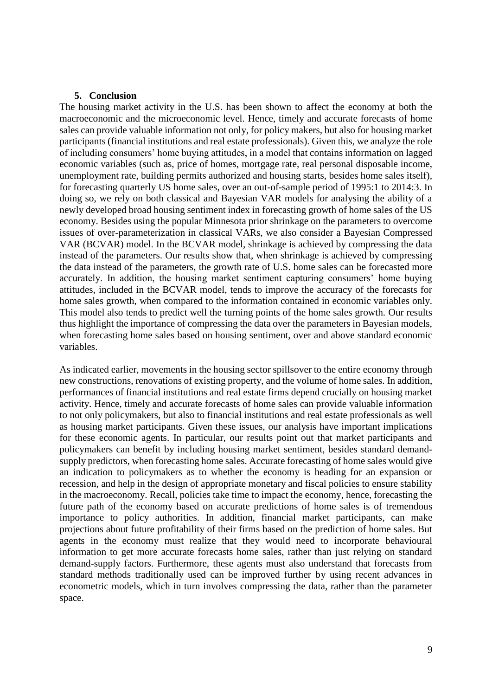#### **5. Conclusion**

The housing market activity in the U.S. has been shown to affect the economy at both the macroeconomic and the microeconomic level. Hence, timely and accurate forecasts of home sales can provide valuable information not only, for policy makers, but also for housing market participants (financial institutions and real estate professionals). Given this, we analyze the role of including consumers' home buying attitudes, in a model that contains information on lagged economic variables (such as, price of homes, mortgage rate, real personal disposable income, unemployment rate, building permits authorized and housing starts, besides home sales itself), for forecasting quarterly US home sales, over an out-of-sample period of 1995:1 to 2014:3. In doing so, we rely on both classical and Bayesian VAR models for analysing the ability of a newly developed broad housing sentiment index in forecasting growth of home sales of the US economy. Besides using the popular Minnesota prior shrinkage on the parameters to overcome issues of over-parameterization in classical VARs, we also consider a Bayesian Compressed VAR (BCVAR) model. In the BCVAR model, shrinkage is achieved by compressing the data instead of the parameters. Our results show that, when shrinkage is achieved by compressing the data instead of the parameters, the growth rate of U.S. home sales can be forecasted more accurately. In addition, the housing market sentiment capturing consumers' home buying attitudes, included in the BCVAR model, tends to improve the accuracy of the forecasts for home sales growth, when compared to the information contained in economic variables only. This model also tends to predict well the turning points of the home sales growth. Our results thus highlight the importance of compressing the data over the parameters in Bayesian models, when forecasting home sales based on housing sentiment, over and above standard economic variables.

As indicated earlier, movements in the housing sector spillsover to the entire economy through new constructions, renovations of existing property, and the volume of home sales. In addition, performances of financial institutions and real estate firms depend crucially on housing market activity. Hence, timely and accurate forecasts of home sales can provide valuable information to not only policymakers, but also to financial institutions and real estate professionals as well as housing market participants. Given these issues, our analysis have important implications for these economic agents. In particular, our results point out that market participants and policymakers can benefit by including housing market sentiment, besides standard demandsupply predictors, when forecasting home sales. Accurate forecasting of home sales would give an indication to policymakers as to whether the economy is heading for an expansion or recession, and help in the design of appropriate monetary and fiscal policies to ensure stability in the macroeconomy. Recall, policies take time to impact the economy, hence, forecasting the future path of the economy based on accurate predictions of home sales is of tremendous importance to policy authorities. In addition, financial market participants, can make projections about future profitability of their firms based on the prediction of home sales. But agents in the economy must realize that they would need to incorporate behavioural information to get more accurate forecasts home sales, rather than just relying on standard demand-supply factors. Furthermore, these agents must also understand that forecasts from standard methods traditionally used can be improved further by using recent advances in econometric models, which in turn involves compressing the data, rather than the parameter space.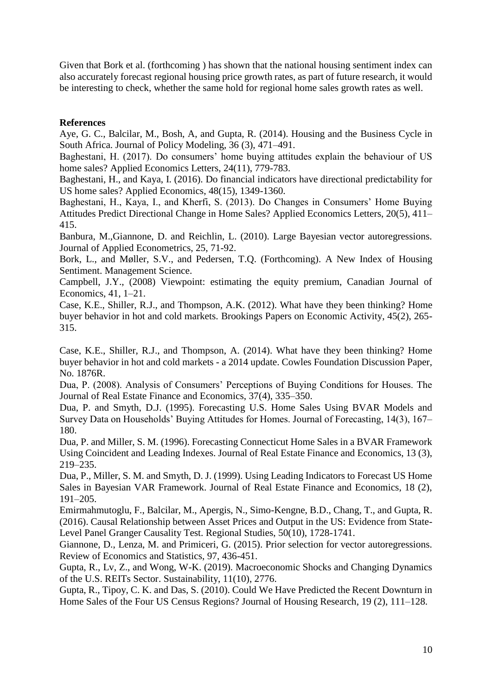Given that Bork et al. (forthcoming ) has shown that the national housing sentiment index can also accurately forecast regional housing price growth rates, as part of future research, it would be interesting to check, whether the same hold for regional home sales growth rates as well.

## **References**

Aye, G. C., Balcilar, M., Bosh, A, and Gupta, R. (2014). Housing and the Business Cycle in South Africa. Journal of Policy Modeling, 36 (3), 471–491.

Baghestani, H. (2017). Do consumers' home buying attitudes explain the behaviour of US home sales? Applied Economics Letters, 24(11), 779-783.

Baghestani, H., and Kaya, I. (2016). Do financial indicators have directional predictability for US home sales? Applied Economics, 48(15), 1349-1360.

Baghestani, H., Kaya, I., and Kherfi, S. (2013). Do Changes in Consumers' Home Buying Attitudes Predict Directional Change in Home Sales? Applied Economics Letters, 20(5), 411– 415.

Banbura, M.,Giannone, D. and Reichlin, L. (2010). Large Bayesian vector autoregressions. Journal of Applied Econometrics, 25, 71-92.

Bork, L., and Møller, S.V., and Pedersen, T.Q. (Forthcoming). A New Index of Housing Sentiment. Management Science.

Campbell, J.Y., (2008) Viewpoint: estimating the equity premium, Canadian Journal of Economics, 41, 1–21.

Case, K.E., Shiller, R.J., and Thompson, A.K. (2012). What have they been thinking? Home buyer behavior in hot and cold markets. Brookings Papers on Economic Activity, 45(2), 265- 315.

Case, K.E., Shiller, R.J., and Thompson, A. (2014). What have they been thinking? Home buyer behavior in hot and cold markets - a 2014 update. Cowles Foundation Discussion Paper, No. 1876R.

Dua, P. (2008). Analysis of Consumers' Perceptions of Buying Conditions for Houses. The Journal of Real Estate Finance and Economics, 37(4), 335–350.

Dua, P. and Smyth, D.J. (1995). Forecasting U.S. Home Sales Using BVAR Models and Survey Data on Households' Buying Attitudes for Homes. Journal of Forecasting, 14(3), 167– 180.

Dua, P. and Miller, S. M. (1996). Forecasting Connecticut Home Sales in a BVAR Framework Using Coincident and Leading Indexes. Journal of Real Estate Finance and Economics, 13 (3), 219–235.

Dua, P., Miller, S. M. and Smyth, D. J. (1999). Using Leading Indicators to Forecast US Home Sales in Bayesian VAR Framework. Journal of Real Estate Finance and Economics, 18 (2), 191–205.

Emirmahmutoglu, F., Balcilar, M., Apergis, N., Simo-Kengne, B.D., Chang, T., and Gupta, R. (2016). Causal Relationship between Asset Prices and Output in the US: Evidence from State-Level Panel Granger Causality Test. Regional Studies, 50(10), 1728-1741.

Giannone, D., Lenza, M. and Primiceri, G. (2015). Prior selection for vector autoregressions. Review of Economics and Statistics, 97, 436-451.

Gupta, R., Lv, Z., and Wong, W-K. (2019). Macroeconomic Shocks and Changing Dynamics of the U.S. REITs Sector. Sustainability, 11(10), 2776.

Gupta, R., Tipoy, C. K. and Das, S. (2010). Could We Have Predicted the Recent Downturn in Home Sales of the Four US Census Regions? Journal of Housing Research, 19 (2), 111–128.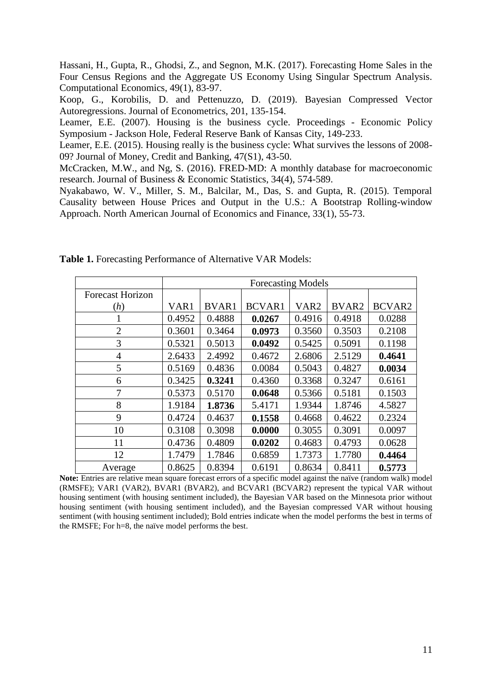Hassani, H., Gupta, R., Ghodsi, Z., and Segnon, M.K. (2017). Forecasting Home Sales in the Four Census Regions and the Aggregate US Economy Using Singular Spectrum Analysis. Computational Economics, 49(1), 83-97.

Koop, G., Korobilis, D. and Pettenuzzo, D. (2019). Bayesian Compressed Vector Autoregressions. Journal of Econometrics, 201, 135-154.

Leamer, E.E. (2007). Housing is the business cycle. Proceedings - Economic Policy Symposium - Jackson Hole, Federal Reserve Bank of Kansas City, 149-233.

Leamer, E.E. (2015). Housing really is the business cycle: What survives the lessons of 2008- 09? Journal of Money, Credit and Banking, 47(S1), 43-50.

McCracken, M.W., and Ng, S. (2016). FRED-MD: A monthly database for macroeconomic research. Journal of Business & Economic Statistics, 34(4), 574-589.

Nyakabawo, W. V., Miller, S. M., Balcilar, M., Das, S. and Gupta, R. (2015). Temporal Causality between House Prices and Output in the U.S.: A Bootstrap Rolling-window Approach. North American Journal of Economics and Finance, 33(1), 55-73.

|                         | <b>Forecasting Models</b> |              |               |                  |        |               |  |  |  |
|-------------------------|---------------------------|--------------|---------------|------------------|--------|---------------|--|--|--|
| <b>Forecast Horizon</b> |                           |              |               |                  |        |               |  |  |  |
| (h)                     | VAR1                      | <b>BVAR1</b> | <b>BCVAR1</b> | VAR <sub>2</sub> | BVAR2  | <b>BCVAR2</b> |  |  |  |
| -1                      | 0.4952                    | 0.4888       | 0.0267        | 0.4916           | 0.4918 | 0.0288        |  |  |  |
| $\overline{2}$          | 0.3601                    | 0.3464       | 0.0973        | 0.3560           | 0.3503 | 0.2108        |  |  |  |
| 3                       | 0.5321                    | 0.5013       | 0.0492        | 0.5425           | 0.5091 | 0.1198        |  |  |  |
| 4                       | 2.6433                    | 2.4992       | 0.4672        | 2.6806           | 2.5129 | 0.4641        |  |  |  |
| 5                       | 0.5169                    | 0.4836       | 0.0084        | 0.5043           | 0.4827 | 0.0034        |  |  |  |
| 6                       | 0.3425                    | 0.3241       | 0.4360        | 0.3368           | 0.3247 | 0.6161        |  |  |  |
| 7                       | 0.5373                    | 0.5170       | 0.0648        | 0.5366           | 0.5181 | 0.1503        |  |  |  |
| 8                       | 1.9184                    | 1.8736       | 5.4171        | 1.9344           | 1.8746 | 4.5827        |  |  |  |
| 9                       | 0.4724                    | 0.4637       | 0.1558        | 0.4668           | 0.4622 | 0.2324        |  |  |  |
| 10                      | 0.3108                    | 0.3098       | 0.0000        | 0.3055           | 0.3091 | 0.0097        |  |  |  |
| 11                      | 0.4736                    | 0.4809       | 0.0202        | 0.4683           | 0.4793 | 0.0628        |  |  |  |
| 12                      | 1.7479                    | 1.7846       | 0.6859        | 1.7373           | 1.7780 | 0.4464        |  |  |  |
| Average                 | 0.8625                    | 0.8394       | 0.6191        | 0.8634           | 0.8411 | 0.5773        |  |  |  |

**Table 1.** Forecasting Performance of Alternative VAR Models:

**Note:** Entries are relative mean square forecast errors of a specific model against the naïve (random walk) model (RMSFE); VAR1 (VAR2), BVAR1 (BVAR2), and BCVAR1 (BCVAR2) represent the typical VAR without housing sentiment (with housing sentiment included), the Bayesian VAR based on the Minnesota prior without housing sentiment (with housing sentiment included), and the Bayesian compressed VAR without housing sentiment (with housing sentiment included); Bold entries indicate when the model performs the best in terms of the RMSFE; For h=8, the naïve model performs the best.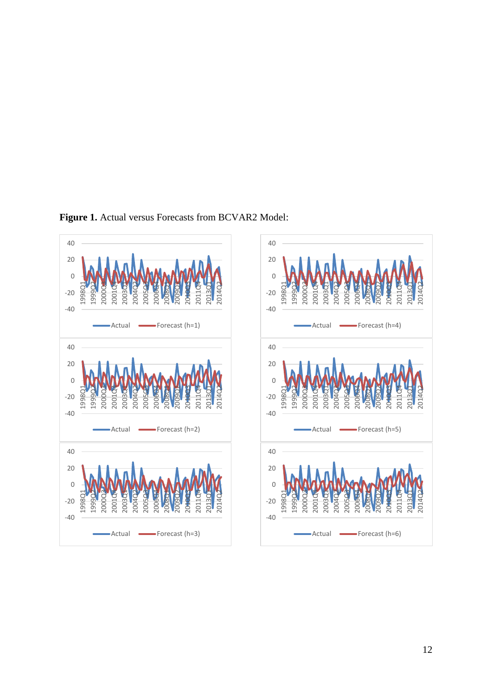



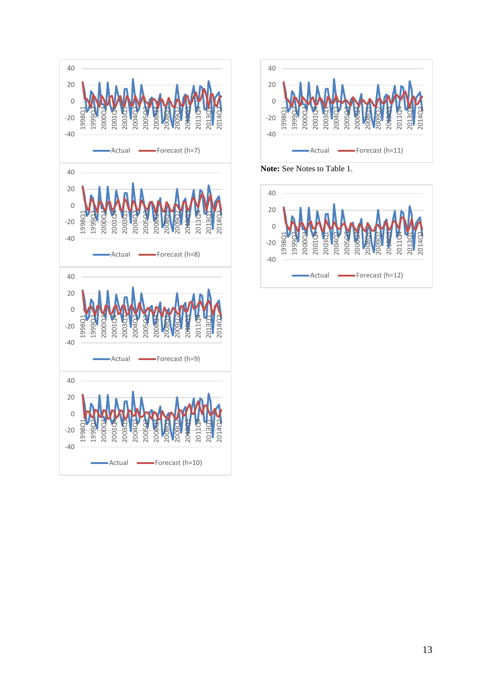



**Note:** See Notes to Table 1.

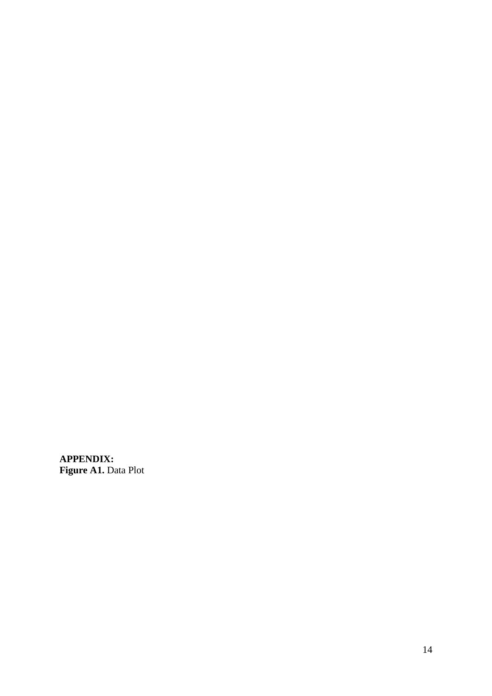**APPENDIX: Figure A1.** Data Plot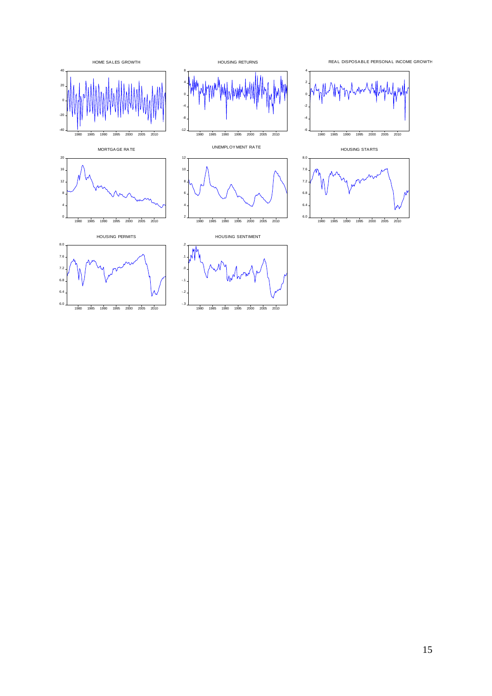